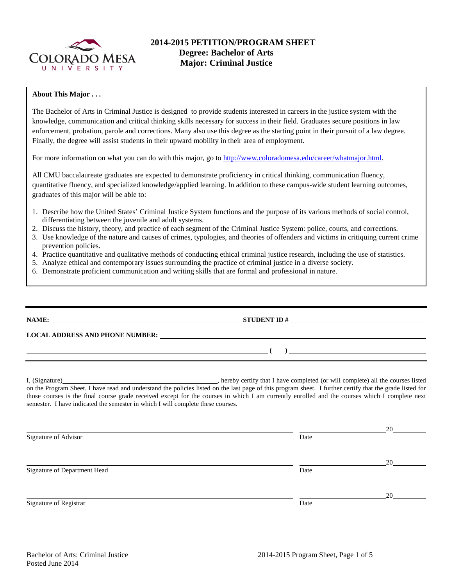

#### **About This Major . . .**

The Bachelor of Arts in Criminal Justice is designed to provide students interested in careers in the justice system with the knowledge, communication and critical thinking skills necessary for success in their field. Graduates secure positions in law enforcement, probation, parole and corrections. Many also use this degree as the starting point in their pursuit of a law degree. Finally, the degree will assist students in their upward mobility in their area of employment.

For more information on what you can do with this major, go to [http://www.coloradomesa.edu/career/whatmajor.html.](http://www.coloradomesa.edu/career/whatmajor.html)

All CMU baccalaureate graduates are expected to demonstrate proficiency in critical thinking, communication fluency, quantitative fluency, and specialized knowledge/applied learning. In addition to these campus-wide student learning outcomes, graduates of this major will be able to:

- 1. Describe how the United States' Criminal Justice System functions and the purpose of its various methods of social control, differentiating between the juvenile and adult systems.
- 2. Discuss the history, theory, and practice of each segment of the Criminal Justice System: police, courts, and corrections.
- 3. Use knowledge of the nature and causes of crimes, typologies, and theories of offenders and victims in critiquing current crime prevention policies.
- 4. Practice quantitative and qualitative methods of conducting ethical criminal justice research, including the use of statistics.
- 5. Analyze ethical and contemporary issues surrounding the practice of criminal justice in a diverse society.
- 6. Demonstrate proficient communication and writing skills that are formal and professional in nature.

|                | ) and the contract of the contract of $\overline{\phantom{a}}$                   |
|----------------|----------------------------------------------------------------------------------|
| I, (Signature) | , hereby certify that I have completed (or will complete) all the courses listed |

on the Program Sheet. I have read and understand the policies listed on the last page of this program sheet. I further certify that the grade listed for those courses is the final course grade received except for the courses in which I am currently enrolled and the courses which I complete next semester. I have indicated the semester in which I will complete these courses.

|                              |      | 20 |
|------------------------------|------|----|
| Signature of Advisor         | Date |    |
|                              |      | 20 |
| Signature of Department Head | Date |    |
|                              |      | 20 |
| Signature of Registrar       | Date |    |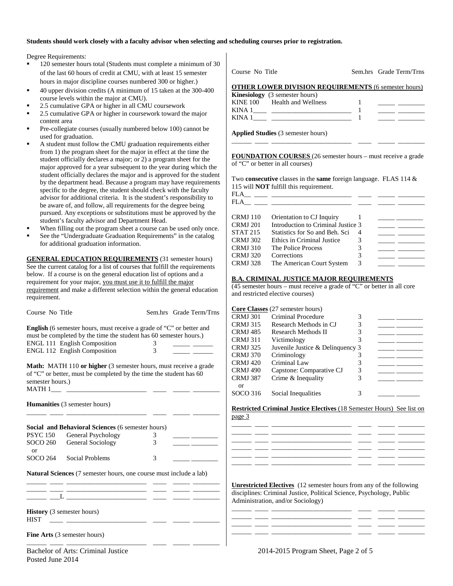#### **Students should work closely with a faculty advisor when selecting and scheduling courses prior to registration.**

Degree Requirements:

- 120 semester hours total (Students must complete a minimum of 30 of the last 60 hours of credit at CMU, with at least 15 semester hours in major discipline courses numbered 300 or higher.)
- 40 upper division credits (A minimum of 15 taken at the 300-400 course levels within the major at CMU).
- 2.5 cumulative GPA or higher in all CMU coursework
- 2.5 cumulative GPA or higher in coursework toward the major content area
- Pre-collegiate courses (usually numbered below 100) cannot be used for graduation.
- A student must follow the CMU graduation requirements either from 1) the program sheet for the major in effect at the time the student officially declares a major; or 2) a program sheet for the major approved for a year subsequent to the year during which the student officially declares the major and is approved for the student by the department head. Because a program may have requirements specific to the degree, the student should check with the faculty advisor for additional criteria. It is the student's responsibility to be aware of, and follow, all requirements for the degree being pursued. Any exceptions or substitutions must be approved by the student's faculty advisor and Department Head.
- When filling out the program sheet a course can be used only once.
- See the "Undergraduate Graduation Requirements" in the catalog for additional graduation information.

**GENERAL EDUCATION REQUIREMENTS** (31 semester hours) See the current catalog for a list of courses that fulfill the requirements below. If a course is on the general education list of options and a requirement for your major, you must use it to fulfill the major requirement and make a different selection within the general education requirement.

| Course No Title                  |                                                                                                                                                                                                                                                                                                                                    | Sem.hrs Grade Term/Trns |                 | <b>Core Classes</b> (27 semester hours)                                                                              |   |                                                                                    |
|----------------------------------|------------------------------------------------------------------------------------------------------------------------------------------------------------------------------------------------------------------------------------------------------------------------------------------------------------------------------------|-------------------------|-----------------|----------------------------------------------------------------------------------------------------------------------|---|------------------------------------------------------------------------------------|
|                                  |                                                                                                                                                                                                                                                                                                                                    |                         | <b>CRMJ 301</b> | Criminal Procedure                                                                                                   | 3 |                                                                                    |
|                                  |                                                                                                                                                                                                                                                                                                                                    |                         | <b>CRMJ 315</b> | Research Methods in CJ                                                                                               | 3 |                                                                                    |
|                                  | <b>English</b> (6 semester hours, must receive a grade of "C" or better and                                                                                                                                                                                                                                                        |                         | <b>CRMJ 485</b> | <b>Research Methods II</b>                                                                                           | 3 |                                                                                    |
|                                  | must be completed by the time the student has 60 semester hours.)                                                                                                                                                                                                                                                                  |                         | <b>CRMJ 311</b> | Victimology                                                                                                          | 3 |                                                                                    |
|                                  | ENGL 111 English Composition                                                                                                                                                                                                                                                                                                       | 3                       | <b>CRMJ 325</b> | Juvenile Justice & Delinquency 3                                                                                     |   | $\overline{\phantom{a}}$ and $\overline{\phantom{a}}$ and $\overline{\phantom{a}}$ |
|                                  | ENGL 112 English Composition                                                                                                                                                                                                                                                                                                       | 3                       | <b>CRMJ 370</b> | Criminology                                                                                                          | 3 |                                                                                    |
|                                  |                                                                                                                                                                                                                                                                                                                                    |                         | <b>CRMJ</b> 420 | Criminal Law                                                                                                         | 3 |                                                                                    |
|                                  | <b>Math:</b> MATH 110 or higher (3 semester hours, must receive a grade                                                                                                                                                                                                                                                            |                         | <b>CRMJ 490</b> | Capstone: Comparative CJ                                                                                             | 3 |                                                                                    |
|                                  | of "C" or better, must be completed by the time the student has 60                                                                                                                                                                                                                                                                 |                         | <b>CRMJ 387</b> | Crime & Inequality                                                                                                   | 3 | the control of the control of the                                                  |
| semester hours.)                 |                                                                                                                                                                                                                                                                                                                                    |                         | <b>or</b>       |                                                                                                                      |   |                                                                                    |
|                                  |                                                                                                                                                                                                                                                                                                                                    |                         | SOCO 316        | Social Inequalities                                                                                                  | 3 |                                                                                    |
|                                  | <b>Humanities</b> (3 semester hours)                                                                                                                                                                                                                                                                                               |                         | page 3          | <b>Restricted Criminal Justice Electives (18 Semester Hours)</b> See list on                                         |   |                                                                                    |
|                                  | <b>Social and Behavioral Sciences</b> (6 semester hours)                                                                                                                                                                                                                                                                           |                         |                 |                                                                                                                      |   |                                                                                    |
| <b>PSYC 150</b>                  | General Psychology                                                                                                                                                                                                                                                                                                                 | 3                       |                 | <u> 1999 - 1999 - 1999 - 1999 - 1999 - 1999 - 1999 - 1999 - 1999 - 1999 - 1999 - 1999 - 1999 - 1999 - 1999 - 199</u> |   |                                                                                    |
| <b>SOCO 260</b><br><sub>or</sub> | General Sociology                                                                                                                                                                                                                                                                                                                  | 3                       |                 |                                                                                                                      |   |                                                                                    |
| <b>SOCO 264</b>                  | <b>Social Problems</b>                                                                                                                                                                                                                                                                                                             | 3                       |                 |                                                                                                                      |   |                                                                                    |
|                                  | <b>Natural Sciences</b> (7 semester hours, one course must include a lab)                                                                                                                                                                                                                                                          |                         |                 |                                                                                                                      |   |                                                                                    |
|                                  |                                                                                                                                                                                                                                                                                                                                    |                         |                 | <b>Unrestricted Electives</b> (12 semester hours from any of the following                                           |   |                                                                                    |
|                                  | ___ __L __________________ ____ _____ ____                                                                                                                                                                                                                                                                                         |                         |                 | disciplines: Criminal Justice, Political Science, Psychology, Public<br>Administration, and/or Sociology)            |   |                                                                                    |
| <b>HIST</b>                      | <b>History</b> (3 semester hours)<br><u> 1980 - Andrea Andrews, amerikansk politik (d. 1980)</u>                                                                                                                                                                                                                                   |                         |                 |                                                                                                                      |   |                                                                                    |
|                                  | <b>Fine Arts</b> (3 semester hours)                                                                                                                                                                                                                                                                                                |                         |                 |                                                                                                                      |   |                                                                                    |
|                                  | $\mathbf{1}$ $\mathbf{1}$ $\mathbf{2}$ $\mathbf{3}$ $\mathbf{4}$ $\mathbf{5}$ $\mathbf{6}$ $\mathbf{7}$ $\mathbf{8}$ $\mathbf{8}$ $\mathbf{1}$ $\mathbf{5}$ $\mathbf{8}$ $\mathbf{1}$ $\mathbf{5}$ $\mathbf{1}$ $\mathbf{1}$ $\mathbf{5}$ $\mathbf{1}$ $\mathbf{1}$ $\mathbf{5}$ $\mathbf{1}$ $\mathbf{1}$ $\mathbf{1}$ $\mathbf{$ |                         |                 | 0.0110017R<br>$\mathbf{r}$ $\mathbf{r}$                                                                              |   |                                                                                    |

| Course No Title                                                                                         | Sem.hrs Grade Term/Trns |
|---------------------------------------------------------------------------------------------------------|-------------------------|
| <b>OTHER LOWER DIVISION REQUIREMENTS (6 semester hours)</b>                                             |                         |
| <b>Kinesiology</b> (3 semester hours)                                                                   |                         |
| KINE 100 Health and Wellness                                                                            |                         |
|                                                                                                         |                         |
|                                                                                                         |                         |
| <b>Applied Studies</b> (3 semester hours)                                                               |                         |
| <b>FOUNDATION COURSES</b> (26 semester hours – must receive a grade<br>of "C" or better in all courses) |                         |

Two **consecutive** classes in the **same** foreign language. FLAS 114 & 115 will **NOT** fulfill this requirement.

| ы       |  |  |
|---------|--|--|
| m.<br>н |  |  |

| CRMJ 110 | Orientation to CJ Inquiry          |   |  |
|----------|------------------------------------|---|--|
| CRMJ 201 | Introduction to Criminal Justice 3 |   |  |
| STAT 215 | Statistics for So and Beh. Sci     |   |  |
| CRMJ 302 | Ethics in Criminal Justice         | 3 |  |
| CRMJ 310 | The Police Process                 |   |  |
| CRMJ 320 | Corrections                        |   |  |
| CRMJ 328 | The American Court System          | 3 |  |
|          |                                    |   |  |

#### **B.A. CRIMINAL JUSTICE MAJOR REQUIREMENTS**

(45 semester hours – must receive a grade of "C" or better in all core and restricted elective courses)

|                 | <b>Core Classes</b> (27 semester hours) |   |  |
|-----------------|-----------------------------------------|---|--|
| <b>CRMJ 301</b> | Criminal Procedure                      | 3 |  |
| <b>CRMJ 315</b> | Research Methods in CJ                  | 3 |  |
| CRMJ 485        | Research Methods II                     |   |  |
| <b>CRMJ 311</b> | Victimology                             | 3 |  |
| CRMJ 325        | Juvenile Justice & Delinquency 3        |   |  |
| <b>CRMJ 370</b> | Criminology                             | 3 |  |
| <b>CRMJ</b> 420 | Criminal Law                            | 3 |  |
| CRMJ 490        | Capstone: Comparative CJ                | 3 |  |
| CRMJ 387        | Crime & Inequality                      | 3 |  |
| or              |                                         |   |  |
| SOCO 316        | Social Inequalities                     | 3 |  |
|                 |                                         |   |  |

Bachelor of Arts: Criminal Justice 2014-2015 Program Sheet, Page 2 of 5

Posted June 2014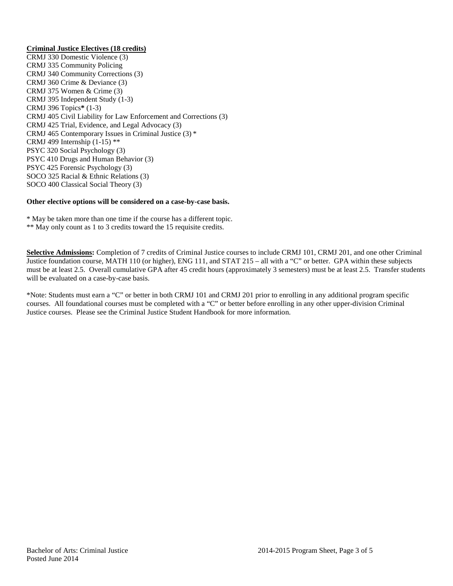### **Criminal Justice Electives (18 credits)**

CRMJ 330 Domestic Violence (3) CRMJ 335 Community Policing CRMJ 340 Community Corrections (3) CRMJ 360 Crime & Deviance (3) CRMJ 375 Women & Crime (3) CRMJ 395 Independent Study (1-3) CRMJ 396 Topics**\*** (1-3) CRMJ 405 Civil Liability for Law Enforcement and Corrections (3) CRMJ 425 Trial, Evidence, and Legal Advocacy (3) CRMJ 465 Contemporary Issues in Criminal Justice (3) \* CRMJ 499 Internship (1-15) \*\* PSYC 320 Social Psychology (3) PSYC 410 Drugs and Human Behavior (3) PSYC 425 Forensic Psychology (3) SOCO 325 Racial & Ethnic Relations (3) SOCO 400 Classical Social Theory (3)

## **Other elective options will be considered on a case-by-case basis.**

\* May be taken more than one time if the course has a different topic. \*\* May only count as 1 to 3 credits toward the 15 requisite credits.

**Selective Admissions:** Completion of 7 credits of Criminal Justice courses to include CRMJ 101, CRMJ 201, and one other Criminal Justice foundation course, MATH 110 (or higher), ENG 111, and STAT 215 – all with a "C" or better. GPA within these subjects must be at least 2.5. Overall cumulative GPA after 45 credit hours (approximately 3 semesters) must be at least 2.5. Transfer students will be evaluated on a case-by-case basis.

\*Note: Students must earn a "C" or better in both CRMJ 101 and CRMJ 201 prior to enrolling in any additional program specific courses. All foundational courses must be completed with a "C" or better before enrolling in any other upper-division Criminal Justice courses. Please see the Criminal Justice Student Handbook for more information.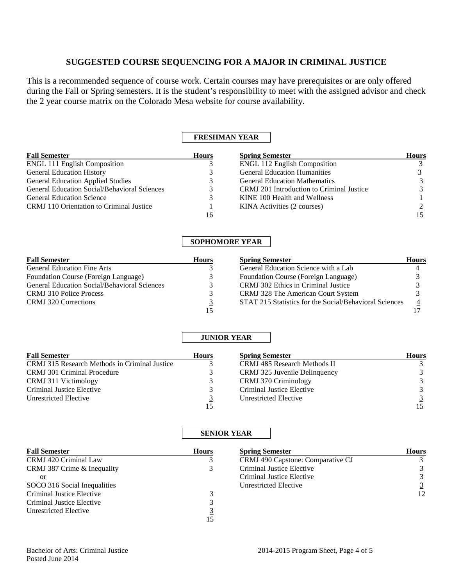# **SUGGESTED COURSE SEQUENCING FOR A MAJOR IN CRIMINAL JUSTICE**

This is a recommended sequence of course work. Certain courses may have prerequisites or are only offered during the Fall or Spring semesters. It is the student's responsibility to meet with the assigned advisor and check the 2 year course matrix on the Colorado Mesa website for course availability.

## **FRESHMAN YEAR**

| <b>Fall Semester</b>                                | <b>Hours</b> | <b>Spring Semester</b>                    | <b>Hours</b> |
|-----------------------------------------------------|--------------|-------------------------------------------|--------------|
| <b>ENGL 111 English Composition</b>                 |              | <b>ENGL 112 English Composition</b>       |              |
| <b>General Education History</b>                    |              | <b>General Education Humanities</b>       |              |
| <b>General Education Applied Studies</b>            |              | <b>General Education Mathematics</b>      |              |
| <b>General Education Social/Behavioral Sciences</b> | 3            | CRMJ 201 Introduction to Criminal Justice |              |
| <b>General Education Science</b>                    | 3            | KINE 100 Health and Wellness              |              |
| CRMJ 110 Orientation to Criminal Justice            |              | KINA Activities (2 courses)               |              |
|                                                     | 16           |                                           |              |

# **SOPHOMORE YEAR**

| <b>Fall Semester</b>                                | <b>Hours</b> | <b>Spring Semester</b>                                 | <b>Hours</b> |
|-----------------------------------------------------|--------------|--------------------------------------------------------|--------------|
| <b>General Education Fine Arts</b>                  |              | General Education Science with a Lab                   |              |
| Foundation Course (Foreign Language)                |              | Foundation Course (Foreign Language)                   |              |
| <b>General Education Social/Behavioral Sciences</b> |              | CRMJ 302 Ethics in Criminal Justice                    |              |
| <b>CRMJ</b> 310 Police Process                      |              | CRMJ 328 The American Court System                     |              |
| CRMJ 320 Corrections                                |              | STAT 215 Statistics for the Social/Behavioral Sciences |              |
|                                                     |              |                                                        |              |

# **JUNIOR YEAR**

| <b>Fall Semester</b>                          | <b>Hours</b> | <b>Spring Semester</b>        | <b>Hours</b> |
|-----------------------------------------------|--------------|-------------------------------|--------------|
| CRMJ 315 Research Methods in Criminal Justice |              | CRMJ 485 Research Methods II  |              |
| <b>CRMJ</b> 301 Criminal Procedure            |              | CRMJ 325 Juvenile Delinquency |              |
| CRMJ 311 Victimology                          |              | CRMJ 370 Criminology          |              |
| Criminal Justice Elective                     |              | Criminal Justice Elective     |              |
| Unrestricted Elective                         |              | Unrestricted Elective         |              |
|                                               |              |                               |              |

# **SENIOR YEAR**

| <b>Fall Semester</b>         | <b>Hours</b> | <b>Spring Semester</b>            | <b>Hours</b>  |
|------------------------------|--------------|-----------------------------------|---------------|
| CRMJ 420 Criminal Law        |              | CRMJ 490 Capstone: Comparative CJ |               |
| CRMJ 387 Crime & Inequality  | 3            | Criminal Justice Elective         |               |
| or                           |              | Criminal Justice Elective         | $\mathcal{E}$ |
| SOCO 316 Social Inequalities |              | Unrestricted Elective             |               |
| Criminal Justice Elective    |              |                                   | 12            |
| Criminal Justice Elective    |              |                                   |               |
| <b>Unrestricted Elective</b> |              |                                   |               |
|                              |              |                                   |               |